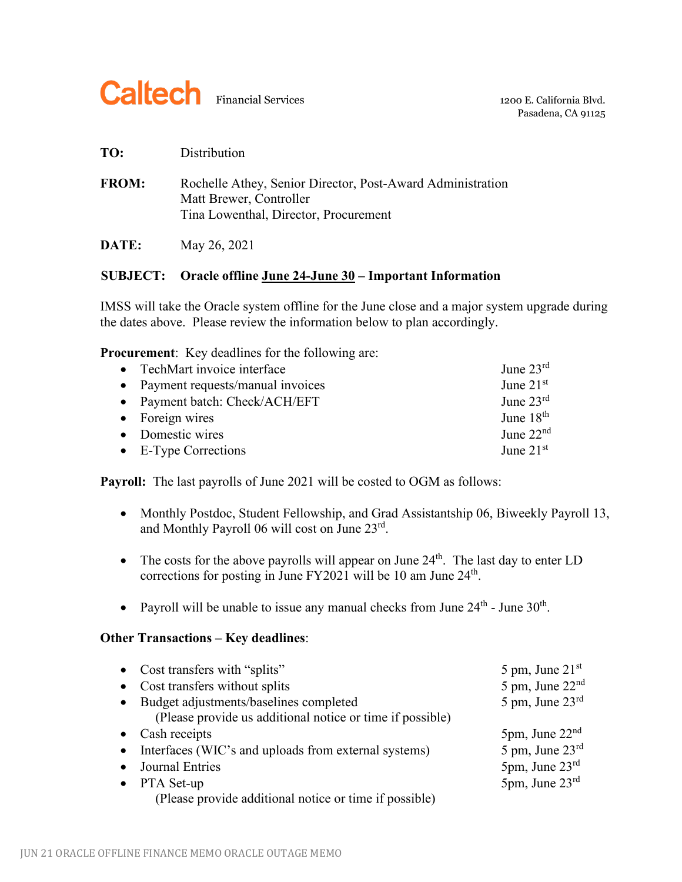

Pasadena, CA 91125

| <b>FROM:</b> | Rochelle Athey, Senior Director, Post-Award Administration |
|--------------|------------------------------------------------------------|
|              | Matt Brewer, Controller                                    |
|              | Tina Lowenthal, Director, Procurement                      |

**DATE:** May 26, 2021

## **SUBJECT: Oracle offline June 24-June 30 – Important Information**

IMSS will take the Oracle system offline for the June close and a major system upgrade during the dates above. Please review the information below to plan accordingly.

**Procurement**: Key deadlines for the following are:

| • TechMart invoice interface       | June $23^{\text{rd}}$ |
|------------------------------------|-----------------------|
| • Payment requests/manual invoices | June $21st$           |
| • Payment batch: Check/ACH/EFT     | June $23^{\text{rd}}$ |
| $\bullet$ Foreign wires            | June $18th$           |
| • Domestic wires                   | June $22nd$           |
| • E-Type Corrections               | June $21st$           |

**Payroll:** The last payrolls of June 2021 will be costed to OGM as follows:

- Monthly Postdoc, Student Fellowship, and Grad Assistantship 06, Biweekly Payroll 13, and Monthly Payroll 06 will cost on June 23rd.
- The costs for the above payrolls will appear on June  $24<sup>th</sup>$ . The last day to enter LD corrections for posting in June FY2021 will be 10 am June 24<sup>th</sup>.
- Payroll will be unable to issue any manual checks from June  $24<sup>th</sup>$  June  $30<sup>th</sup>$ .

## **Other Transactions – Key deadlines**:

|           | • Cost transfers with "splits"                            | 5 pm, June $21st$                     |
|-----------|-----------------------------------------------------------|---------------------------------------|
|           | • Cost transfers without splits                           | 5 pm, June $22nd$                     |
|           | Budget adjustments/baselines completed                    | 5 pm, June $23^{\text{rd}}$           |
|           | (Please provide us additional notice or time if possible) |                                       |
|           | Cash receipts                                             | $5$ pm, June $22nd$                   |
| $\bullet$ | Interfaces (WIC's and uploads from external systems)      | 5 pm, June $23^{\text{rd}}$           |
|           | Journal Entries                                           | $5 \text{pm}$ , June $23^{\text{rd}}$ |
|           | $\bullet$ PTA Set-up                                      | $5$ pm, June $23^{\text{rd}}$         |
|           | (Please provide additional notice or time if possible)    |                                       |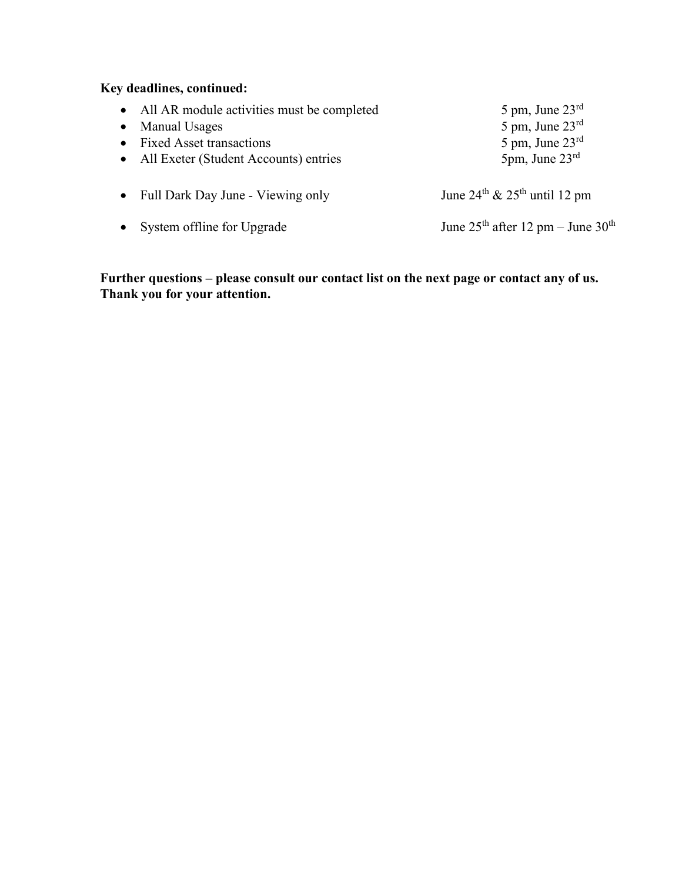## **Key deadlines, continued:**

| • All AR module activities must be completed | 5 pm, June $23^{\text{rd}}$                          |
|----------------------------------------------|------------------------------------------------------|
| <b>Manual Usages</b>                         | 5 pm, June $23^{\text{rd}}$                          |
| <b>Fixed Asset transactions</b>              | 5 pm, June $23^{\text{rd}}$                          |
| • All Exeter (Student Accounts) entries      | $5$ pm, June $23^{\text{rd}}$                        |
|                                              |                                                      |
| • Full Dark Day June - Viewing only          | June 24 <sup>th</sup> & 25 <sup>th</sup> until 12 pm |
|                                              |                                                      |
| System offline for Upgrade                   | June $25th$ after 12 pm – June $30th$                |

**Further questions – please consult our contact list on the next page or contact any of us. Thank you for your attention.**